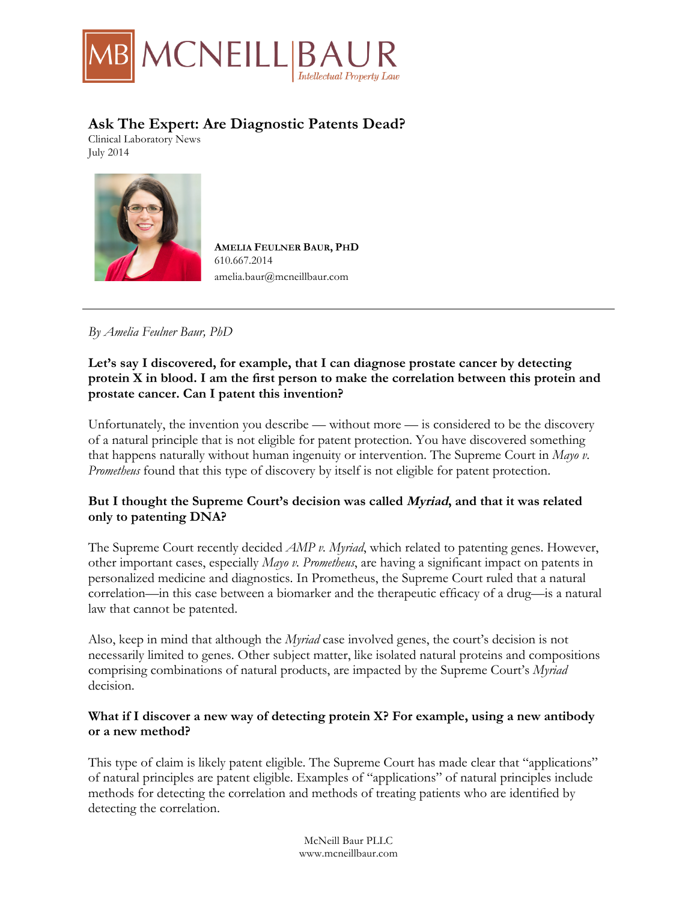

# **Ask The Expert: Are Diagnostic Patents Dead?**

Clinical Laboratory News July 2014



**AMELIA FEULNER BAUR, PHD** 610.667.2014 amelia.baur@mcneillbaur.com

*By Amelia Feulner Baur, PhD*

# **Let's say I discovered, for example, that I can diagnose prostate cancer by detecting protein X in blood. I am the first person to make the correlation between this protein and prostate cancer. Can I patent this invention?**

Unfortunately, the invention you describe — without more — is considered to be the discovery of a natural principle that is not eligible for patent protection. You have discovered something that happens naturally without human ingenuity or intervention. The Supreme Court in *Mayo v*. *Prometheus* found that this type of discovery by itself is not eligible for patent protection.

# **But I thought the Supreme Court's decision was called Myriad, and that it was related only to patenting DNA?**

The Supreme Court recently decided *AMP v. Myriad*, which related to patenting genes. However, other important cases, especially *Mayo v. Prometheus*, are having a significant impact on patents in personalized medicine and diagnostics. In Prometheus, the Supreme Court ruled that a natural correlation—in this case between a biomarker and the therapeutic efficacy of a drug—is a natural law that cannot be patented.

Also, keep in mind that although the *Myriad* case involved genes, the court's decision is not necessarily limited to genes. Other subject matter, like isolated natural proteins and compositions comprising combinations of natural products, are impacted by the Supreme Court's *Myriad* decision.

## **What if I discover a new way of detecting protein X? For example, using a new antibody or a new method?**

This type of claim is likely patent eligible. The Supreme Court has made clear that "applications" of natural principles are patent eligible. Examples of "applications" of natural principles include methods for detecting the correlation and methods of treating patients who are identified by detecting the correlation.

> McNeill Baur PLLC www.mcneillbaur.com